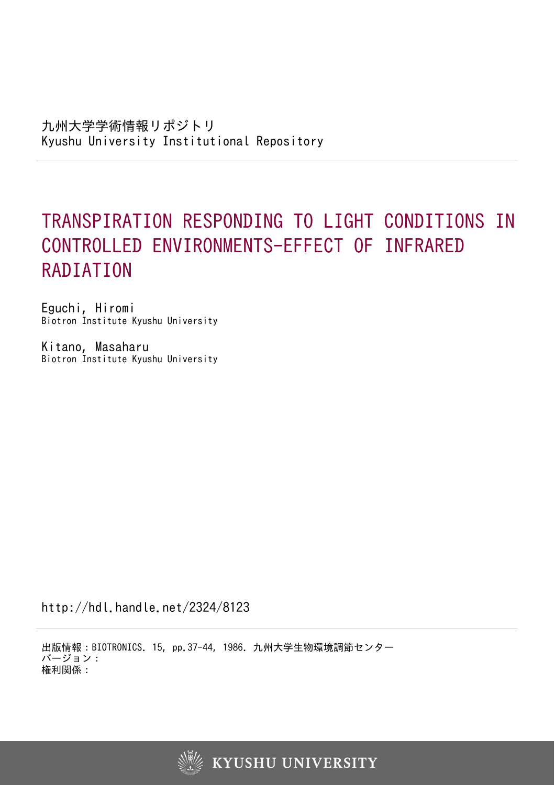# TRANSPIRATION RESPONDING TO LIGHT CONDITIONS IN CONTROLLED ENVIRONMENTS-EFFECT OF INFRARED RADIATION

Eguchi, Hiromi Biotron Institute Kyushu University

Kitano, Masaharu Biotron Institute Kyushu University

http://hdl.handle.net/2324/8123

出版情報:BIOTRONICS. 15, pp.37-44, 1986. 九州大学生物環境調節センター バージョン: 権利関係:

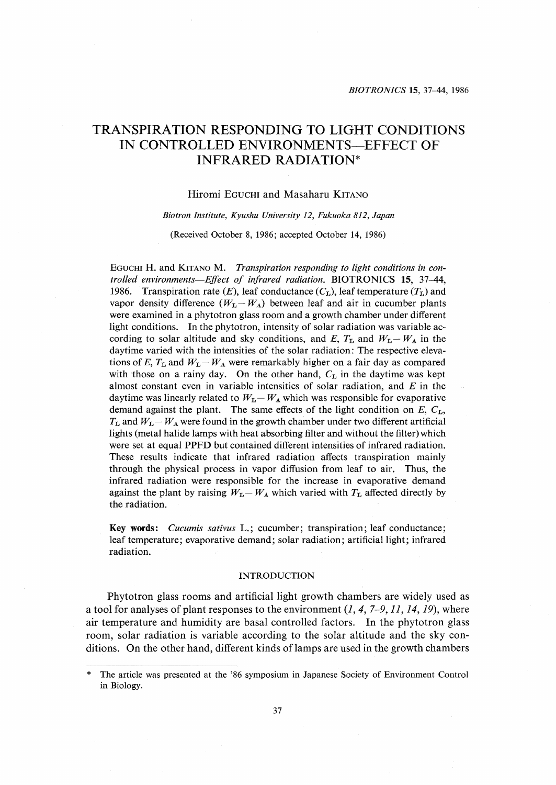# TRANSPIRATION RESPONDING TO LIGHT CONDITIONS IN CONTROLLED ENVIRONMENTS-EFFECT OF INFRARED RADIATION\*

# Hiromi EGUCHI and Masaharu KITANO

# Bio tron lnstitute, Kyushu University 12, Fukuoka 812, Japan

(Received October 8, 1986; accepted October 14, 1986)

EGUCHI H. and KITANO M. Transpiration responding to light conditions in controlled environments-Effect of infrared radiation. BIOTRONICS 15, 37-44, 1986. Transpiration rate (E), leaf conductance ( $C_{\text{L}}$ ), leaf temperature ( $T_{\text{L}}$ ) and vapor density difference ( $W_L-W_A$ ) between leaf and air in cucumber plants were examined in a phytotron glass room and a growth chamber under different light conditions. In the phytotron, intensity of solar radiation was variable ac cording to solar altitude and sky conditions, and E,  $T_L$  and  $W_L-W_A$  in the daytime varied with the intensities of the solar radiation:The respective eleva tions of E,  $T_L$  and  $W_L-W_A$  were remarkably higher on a fair day as compared with those on a rainy day. On the other hand,  $C_{\text{L}}$  in the daytime was kept almost constant even in variable intensities of solar radiation, and  $E$  in the daytime was linearly related to  $W_{\text{L}} - W_{\text{A}}$  which was responsible for evaporative demand against the plant. The same effects of the light condition on  $E$ ,  $C$ <sub>L</sub>,  $T_{\text{L}}$  and  $W_{\text{L}}-W_{\text{A}}$  were found in the growth chamber under two different artificial lights (metal halide lamps with heat absorbing filter and without the filter) which were set at equal PPFD but contained different intensities of infrared radiation, These results indicate that infrared radiation affects transpiration mainly through the physical process in vapor diffusion from leaf to air. Thus, the infrared radiation were responsible for the increase in evaporative demand against the plant by raising  $W_L-W_A$  which varied with  $T_L$  affected directly by the radiation.

Key words: *Cucumis sativus* L.; cucumber; transpiration; leaf conductance; leaf temperature; evaporative demand; solar radiation; artificial light; infrared radiation.

#### INTRODUCTION

 Phytotron glass rooms and artificial light growth chambers are widely used as a tool for analyses of plant responses to the environment  $(1, 4, 7-9, 11, 14, 19)$ , where air temperature and humidity are basal controlled factors. ln the phytotron glass room, solar radiation is variable according to the solar altitude and the sky con ditions. On the other hand, different kinds of lamps are used in the growth chambers

The article was presented at the '86 symposium in Japanese Society of Environment Control in Biology.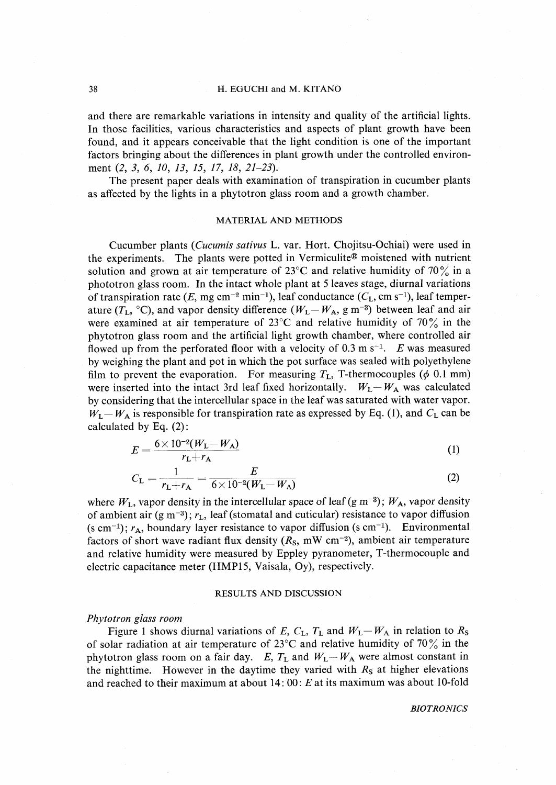# 38 H. EGUCHI and M. KITANO

and there are remarkable variations in intensity and quality of the artificial lights. In those facilities, various characteristics and aspects of plant growth have been found, and it appears conceivable that the light condition is one of the important factors bringing about the differences in plant growth under the controlled environ ment (2, 3, 6, 10, 13, 15, 17, 18, 21-23).

 The present paper deals with examination of transpiration in cucumber plants as affected by the lights in a phytotron glass room and a growth chamber.

# MATERIAL AND METHODS

 Cucumber plants (Cucumis sativus L. var. Hort. Chojitsu-Ochiai) were used in the experiments. The plants were potted in Vermiculite<sup>®</sup> moistened with nutrient solution and grown at air temperature of 23<sup>o</sup>C and relative humidity of 70 $\frac{9}{6}$  in a phototron glass room. ln the intact whole plant at 5 leaves stage, diurnal variations of transpiration rate  $(E, \text{mg cm}^{-2} \text{min}^{-1})$ , leaf conductance  $(C_L, \text{cm s}^{-1})$ , leaf temperature ( $T_L$ , °C), and vapor density difference ( $W_L - W_A$ , g m<sup>-3</sup>) between leaf and air were examined at air temperature of  $23^{\circ}$ C and relative humidity of  $70\%$  in the phytotron glass room and the artificial light growth Qhamber, where controlled air flowed up from the perforated floor with a velocity of 0.3 m s<sup>-1</sup>. E was measured by weighing the plant and pot in which the pot surface was sealed with polyethylene film to prevent the evaporation. For measuring  $T_L$ , T-thermocouples ( $\phi$  0.1 mm) were inserted into the intact 3rd leaf fixed horizontally.  $W_L - W_A$  was calculated by considering that the intercellular space in the leaf was saturated with water vapor.  $W_L - W_A$  is responsible for transpiration rate as expressed by Eq. (1), and  $C_L$  can be calculated by Eq. (2):

$$
E = \frac{6 \times 10^{-2} (W_{\rm L} - W_{\rm A})}{r_{\rm L} + r_{\rm A}}
$$
 (1)

$$
C_{\rm L} = \frac{1}{r_{\rm L} + r_{\rm A}} = \frac{E}{6 \times 10^{-2} (W_{\rm L} - W_{\rm A})}
$$
(2)

where  $W_L$ , vapor density in the intercellular space of leaf (g m<sup>-3</sup>);  $W_A$ , vapor density of ambient air (g m<sup>-3</sup>);  $r<sub>L</sub>$ , leaf (stomatal and cuticular) resistance to vapor diffusion (s cm<sup>-1</sup>);  $r_A$ , boundary layer resistance to vapor diffusion (s cm<sup>-1</sup>). Environmental factors of short wave radiant flux density  $(R<sub>S</sub>, mW cm<sup>-2</sup>)$ , ambient air temperature and relative humidity were measured by Eppley pyranometer, T-thermocouple and electric capacitance meter (HMP15, Vaisala, Oy), respectively.

#### RESULTS AND DISCUSSION

# Phytotron glass room

Figure 1 shows diurnal variations of E,  $C_L$ ,  $T_L$  and  $W_L - W_A$  in relation to  $R_S$ of solar radiation at air temperature of 23 $^{\circ}$ C and relative humidity of 70 $\%$  in the phytotron glass room on a fair day. E,  $T_L$  and  $W_L - W_A$  were almost constant in the nighttime. However in the daytime they varied with  $R<sub>S</sub>$  at higher elevations and reached to their maximum at about  $14:00: E$  at its maximum was about 10-fold

#### **BIOTRONICS**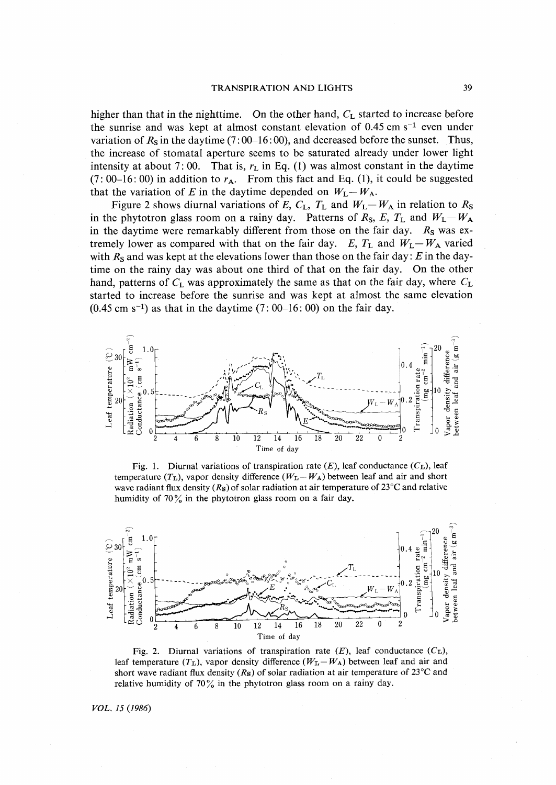#### **TRANSPIRATION AND LIGHTS**

higher than that in the nighttime. On the other hand,  $C_L$  started to increase before the sunrise and was kept at almost constant elevation of 0.45 cm  $s^{-1}$  even under variation of  $R_s$  in the daytime (7:00–16:00), and decreased before the sunset. Thus, the increase of stomatal aperture seems to be saturated already under lower light intensity at about 7:00. That is,  $r<sub>L</sub>$  in Eq. (1) was almost constant in the daytime  $(7:00-16:00)$  in addition to  $r_A$ . From this fact and Eq. (1), it could be suggested that the variation of E in the daytime depended on  $W_L - W_A$ .

Figure 2 shows diurnal variations of E,  $C_L$ ,  $T_L$  and  $W_L - W_A$  in relation to  $R_S$ in the phytotron glass room on a rainy day. Patterns of  $R_S$ ,  $E$ ,  $T_L$  and  $W_L-W_A$ in the daytime were remarkably different from those on the fair day.  $R<sub>S</sub>$  was extremely lower as compared with that on the fair day. E,  $T_L$  and  $W_L-W_A$  varied with  $R_S$  and was kept at the elevations lower than those on the fair day: E in the daytime on the rainy day was about one third of that on the fair day. On the other hand, patterns of  $C_L$  was approximately the same as that on the fair day, where  $C_L$ started to increase before the sunrise and was kept at almost the same elevation  $(0.45 \text{ cm s}^{-1})$  as that in the daytime  $(7:00-16:00)$  on the fair day.



Fig. 1. Diurnal variations of transpiration rate  $(E)$ , leaf conductance  $(C<sub>L</sub>)$ , leaf temperature  $(T_L)$ , vapor density difference  $(W_L - W_A)$  between leaf and air and short wave radiant flux density ( $R_s$ ) of solar radiation at air temperature of 23 $\degree$ C and relative humidity of  $70\%$  in the phytotron glass room on a fair day.



Fig. 2. Diurnal variations of transpiration rate  $(E)$ , leaf conductance  $(C_{\text{L}})$ , leaf temperature  $(T_L)$ , vapor density difference  $(W_L - W_A)$  between leaf and air and short wave radiant flux density ( $R_s$ ) of solar radiation at air temperature of 23<sup>o</sup>C and relative humidity of 70% in the phytotron glass room on a rainy day.

VOL. 15 (1986)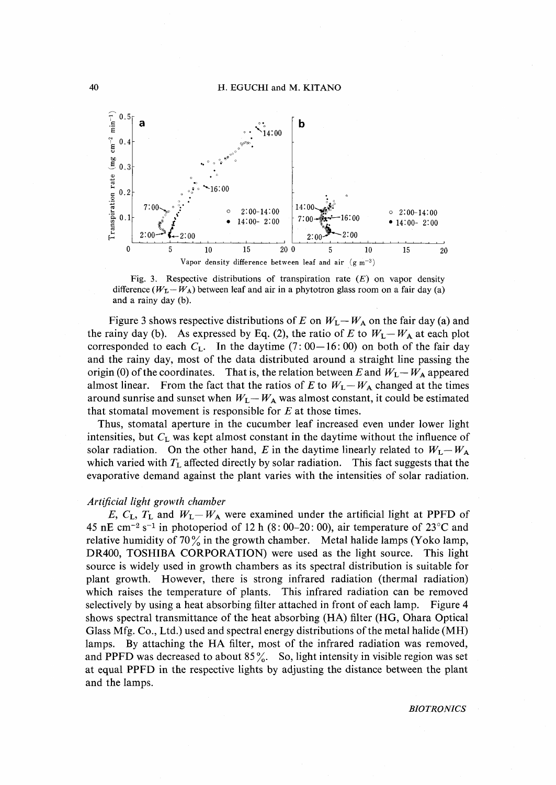

Fig. 3. Respective distributions of transpiration rate  $(E)$  on vapor density difference  $(W_L - W_A)$  between leaf and air in a phytotron glass room on a fair day (a) and a rainy day (b).

Figure 3 shows respective distributions of E on  $W_L - W_A$  on the fair day (a) and the rainy day (b). As expressed by Eq. (2), the ratio of E to  $W_L - W_A$  at each plot corresponded to each  $C_L$ . In the daytime (7:00–16:00) on both of the fair day and the rainy day, most of the data distributed around a straight line passing the origin (0) of the coordinates. That is, the relation between E and  $W_L - W_A$  appeared almost linear. From the fact that the ratios of E to  $W_L - W_A$  changed at the times around sunrise and sunset when  $W_L - W_A$  was almost constant, it could be estimated that stomatal movement is responsible for  $E$  at those times.

Thus, stomatal aperture in the cucumber leaf increased even under lower light intensities, but  $C_L$  was kept almost constant in the daytime without the influence of solar radiation. On the other hand, E in the daytime linearly related to  $W_L - W_A$ which varied with  $T_L$  affected directly by solar radiation. This fact suggests that the evaporative demand against the plant varies with the intensities of solar radiation.

# Artificial light growth chamber

E,  $C_{\rm L}$ ,  $T_{\rm L}$  and  $W_{\rm L} - W_{\rm A}$  were examined under the artificial light at PPFD of 45 nE cm<sup>-2</sup> s<sup>-1</sup> in photoperiod of 12 h (8:00-20:00), air temperature of 23<sup>o</sup>C and relative humidity of  $70\%$  in the growth chamber. Metal halide lamps (Yoko lamp, DR400, TOSHIBA CORPORATION) were used as the light source. This light source is widely used in growth chambers as its spectral distribution is suitable for plant growth. However, there is strong infrared radiation (thermal radiation) This infrared radiation can be removed which raises the temperature of plants. selectively by using a heat absorbing filter attached in front of each lamp. Figure 4 shows spectral transmittance of the heat absorbing (HA) filter (HG, Ohara Optical Glass Mfg. Co., Ltd.) used and spectral energy distributions of the metal halide (MH) lamps. By attaching the HA filter, most of the infrared radiation was removed, and PPFD was decreased to about  $85\%$ . So, light intensity in visible region was set at equal PPFD in the respective lights by adjusting the distance between the plant and the lamps.

**BIOTRONICS**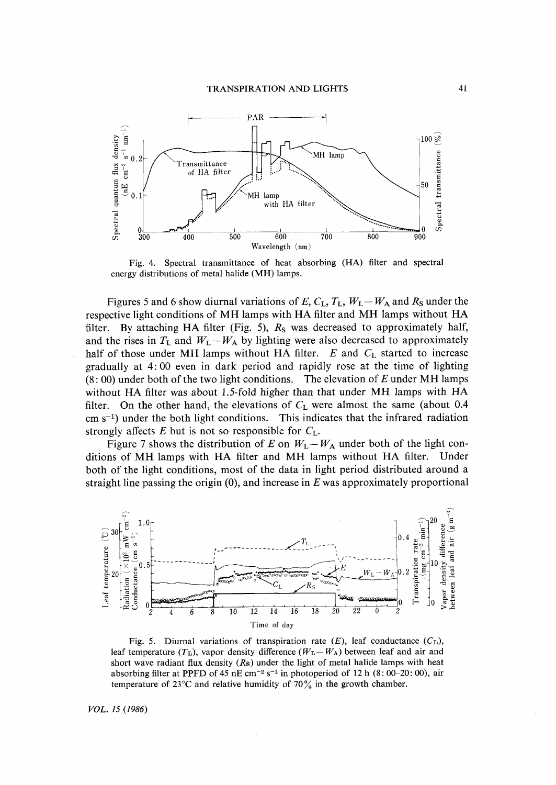

Fig. 4. Spectral transmittance of heat absorbing (HA) filter and spectral energy distributions of metal halide (MH) lamps.

Figures 5 and 6 show diurnal variations of E,  $C_L$ ,  $T_L$ ,  $W_L - W_A$  and  $R_S$  under the respective light conditions of MH lamps with HA filter and MH lamps without HA filter. By attaching HA filter (Fig. 5),  $R<sub>S</sub>$  was decreased to approximately half, and the rises in  $T_L$  and  $W_L - W_A$  by lighting were also decreased to approximately half of those under MH lamps without HA filter.  $E$  and  $C<sub>L</sub>$  started to increase gradually at 4:00 even in dark period and rapidly rose at the time of lighting  $(8:00)$  under both of the two light conditions. The elevation of E under MH lamps without HA filter was about 1.5-fold higher than that under MH lamps with HA filter. On the other hand, the elevations of  $C_{L}$  were almost the same (about 0.4  $\text{cm s}^{-1}$ ) under the both light conditions. This indicates that the infrared radiation strongly affects  $E$  but is not so responsible for  $C_L$ .

Figure 7 shows the distribution of E on  $W_L - W_A$  under both of the light conditions of MH lamps with HA filter and MH lamps without HA filter. Under both of the light conditions, most of the data in light period distributed around a straight line passing the origin  $(0)$ , and increase in E was approximately proportional



Fig. 5. Diurnal variations of transpiration rate  $(E)$ , leaf conductance  $(C_{L})$ , leaf temperature  $(T_L)$ , vapor density difference  $(W_L - W_A)$  between leaf and air and short wave radiant flux density  $(R<sub>s</sub>)$  under the light of metal halide lamps with heat absorbing filter at PPFD of 45 nE cm<sup>-2</sup> s<sup>-1</sup> in photoperiod of 12 h (8:00–20:00), air temperature of 23<sup>°</sup>C and relative humidity of 70 $\frac{9}{6}$  in the growth chamber.

VOL. 15 (1986)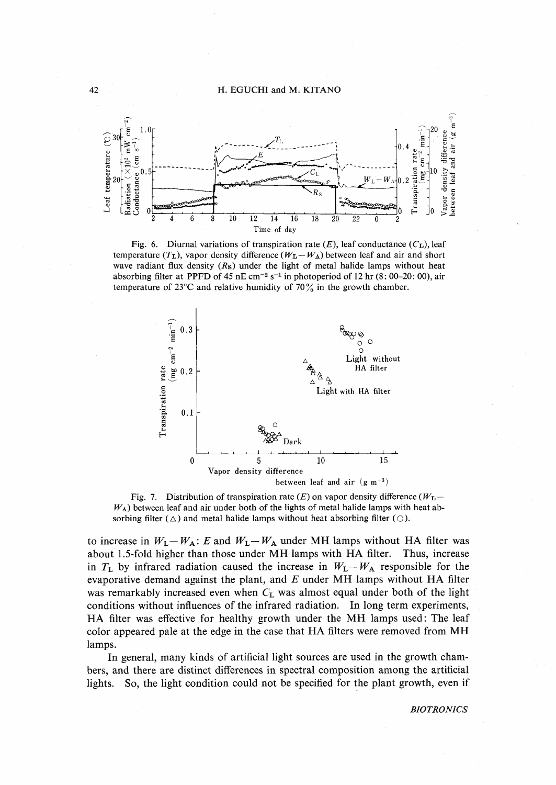

Fig. 6. Diurnal variations of transpiration rate  $(E)$ , leaf conductance  $(C_{L})$ , leaf temperature ( $T_L$ ), vapor density difference ( $W_L - W_A$ ) between leaf and air and short wave radiant flux density  $(R<sub>s</sub>)$  under the light of metal halide lamps without heat absorbing filter at PPFD of 45 nE cm<sup>-2</sup> s<sup>-1</sup> in photoperiod of 12 hr (8: 00–20: 00), air temperature of  $23^{\circ}$ C and relative humidity of 70% in the growth chamber.



Fig. 7. Distribution of transpiration rate (E) on vapor density difference ( $W_{\text{L}}$ - $W_A$ ) between leaf and air under both of the lights of metal halide lamps with heat absorbing filter ( $\triangle$ ) and metal halide lamps without heat absorbing filter ( $\bigcirc$ ).

to increase in  $W_L - W_A$ : E and  $W_L - W_A$  under MH lamps without HA filter was about 1.5-fold higher than those under MH lamps with HA filter. Thus, increase in  $T_L$  by infrared radiation caused the increase in  $W_L - W_A$  responsible for the evaporative demand against the plant, and  $E$  under MH lamps without HA filter was remarkably increased even when  $C_L$  was almost equal under both of the light conditions without influences of the infrared radiation. In long term experiments, HA filter was effective for healthy growth under the MH lamps used: The leaf color appeared pale at the edge in the case that HA filters were removed from MH lamps.

In general, many kinds of artificial light sources are used in the growth chambers, and there are distinct differences in spectral composition among the artificial lights. So, the light condition could not be specified for the plant growth, even if

**BIOTRONICS**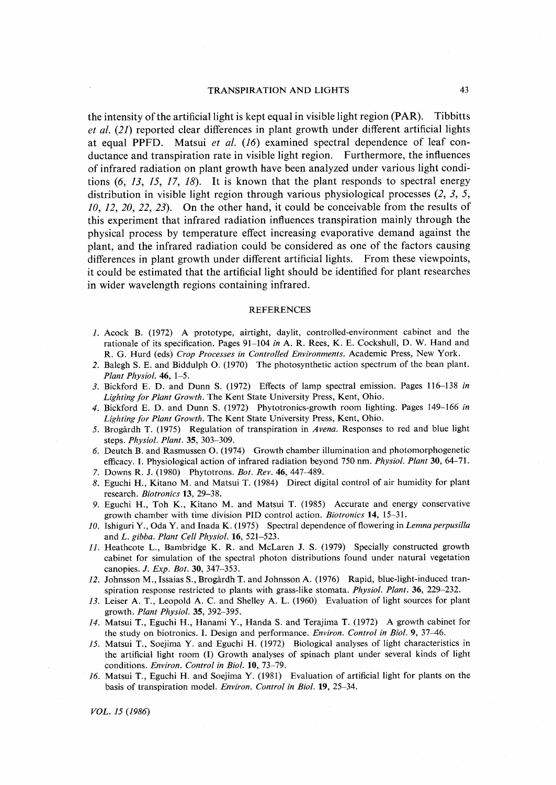the intensity of the artificial light is kept equal in visible light region (PAR). Tibbitts et al. (21) reported clear differences in plant growth under different artificial lights at equal PPFD. Matsui et al. (16) examined spectral dependence of leaf con ductance and transpiration rate in visible light region, Furthermore, the influences of infrared radiation on plant growth have been analyzed under various light condi tions  $(6, 13, 15, 17, 18)$ . It is known that the plant responds to spectral energy distribution in visible light region through various physiological processes  $(2, 3, 5, ...)$  $10, 12, 20, 22, 23$ . On the other hand, it could be conceivable from the results of this experiment that infrared radiation influences transpiration mainly through the physical process by temperature effect increasing evaporative demand against the plant, and the infrared radiation could be considered as one of the factors causing differences in plant growth under different artificial lights. From these viewpoints, it could be estimated that the artificial light should be identified for plant researches in wider wavelength regions containing infrared.

#### **REFERENCES**

- 1.Acock B.(1972) A prototype, airtight, daylit, contro11ed-environment cabinet and the rationale of its specification. Pages  $91-104$  in A. R. Rees, K. E. Cockshull, D. W. Hand and R. G. Hurd (eds) Crop Processes in Controlled Environments. Academic Press, New York.
- 2.Balegh S. E. and Biddulph O.(1970) The Photosynthetic action spectrum of the bean plant. Plant Physiol.  $46, 1-5$ .
- 3. Bickford E. D. and Dunn S. (1972) Effects of lamp spectral emission. Pages 116-138 in Lighting for Plant Growth. The Kent State University Press, Kent, Ohio.
- 4. Bickford E. D. and Dunn S. (1972) Phytotronics-growth room lighting. Pages 149-166 in Lighting for Plant Growth. The Kent State University Press, Kent, Ohio.
- 5. Brogårdh T. (1975) Regulation of transpiration in Avena. Responses to red and blue light steps. Physiol. Plant. 35, 303-309.
- 6. Deutch B. and Rasmussen O. (1974) Growth chamber illumination and photomorphogenetic efficacy. I. Physiological action of infrared radiation beyond 750 nm. Physiol. Plant 30, 64-71. 7. Downs R. J. (1980) Phytotrons. Bot. Rev. 46, 447-489.
- 8.Eguchi H., Kitano M. and Matsui T.(1984)'Direct digital control of air humidity for plant research. Biotronics 13, 29-38.
- 9. Eguchi H., Toh K., Kitano M. and Matsui T. (1985) Accurate and energy conservative growth chamber with time division PID control action. Biotronics  $14$ ,  $15-31$ .
- 10. Ishiguri Y., Oda Y. and Inada K. (1975) Spectral dependence of flowering in Lemna perpusilla and L. gibba. Plant Cell Physiol.  $16, 521-523$ .
- $11.$  Heathcote L., Bambridge K. R. and McLaren J. S. (1979) Specially constructed growth cabinet for simulation of the spectral photon distributions found under natural vegetation canopies. *J. Exp. Bot.* 30, 347-353.
- 12. Johnsson M., Issaias S., Brogårdh T. and Johnsson A. (1976) Rapid, blue-light-induced transpiration response restricted to plants with grass-like stomata. *Physiol. Plant.* 36, 229-232.
- 13.Leiser A. T., Leopold A. C. and Shelley A. L.(1960) Evaluation of light sources for plant growth. Plant Physiol.35,392-395.
- 14. Matsui T., Eguchi H., Hanami Y., Handa S. and Terajima T. (1972) A growth cabinet for the study on biotronics. I. Design and performance. Environ. Control in Biol. 9, 37-46.
- 15. Matsui T., Soejima Y. and Eguchi H. (1972) Biological analyses of light characteristics in the artificial light room (I) Growth analyses of spinach plant under several kinds of light conditions. Environ. Control in Biol. 10, 73-79.
- 16. Matsui T., Eguchi H. and Soejima Y.  $(1981)$  Evaluation of artificial light for plants on the basis of transpiration model. Environ. Control in Biol. 19, 25-34.

'VOL. 15 (1986)